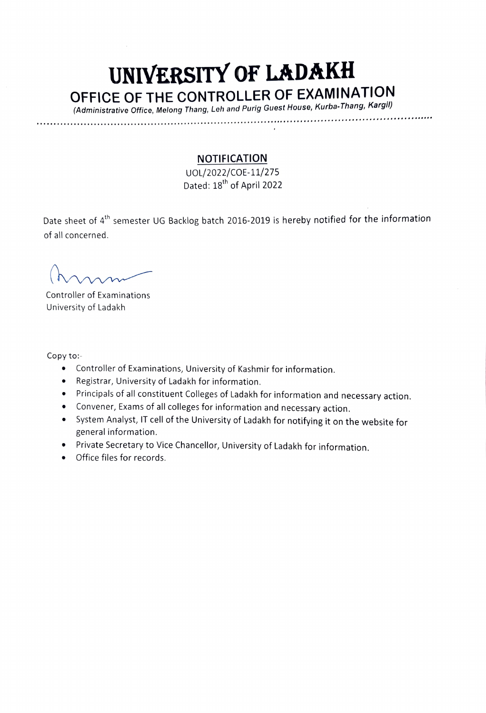## UNIVERSITY OF LADAKH OFFICE OF THE CONTROLLER OF EXAMINATION

(Administrative Office, Melong Thang, Leh and Purig Guest House, Kurba-Thang, Kargil)

\*\*\*\*\*\*

## **NOTIFICATION**

UOL/2022/cOE-11/275 Dated: 18<sup>th</sup> of April 2022

Date sheet of 4<sup>th</sup> semester UG Backlog batch 2016-2019 is hereby notified for the information of all concerned.

Controller of Examinations University of Ladakh

Copy to:

- Controller of Examinations, University of Kashmir for information.
- Registrar, University of Ladakh for information.
- .Principals of all constituent Colleges of Ladakh for information and necessary action.
- Convener, Exams of all colleges for information and necessary action.
- System Analyst, IT cell of the University of Ladakh for notifying it on the website for general information.
- Private Secretary to Vice Chancellor, University of Ladakh for information.
- Office files for records.